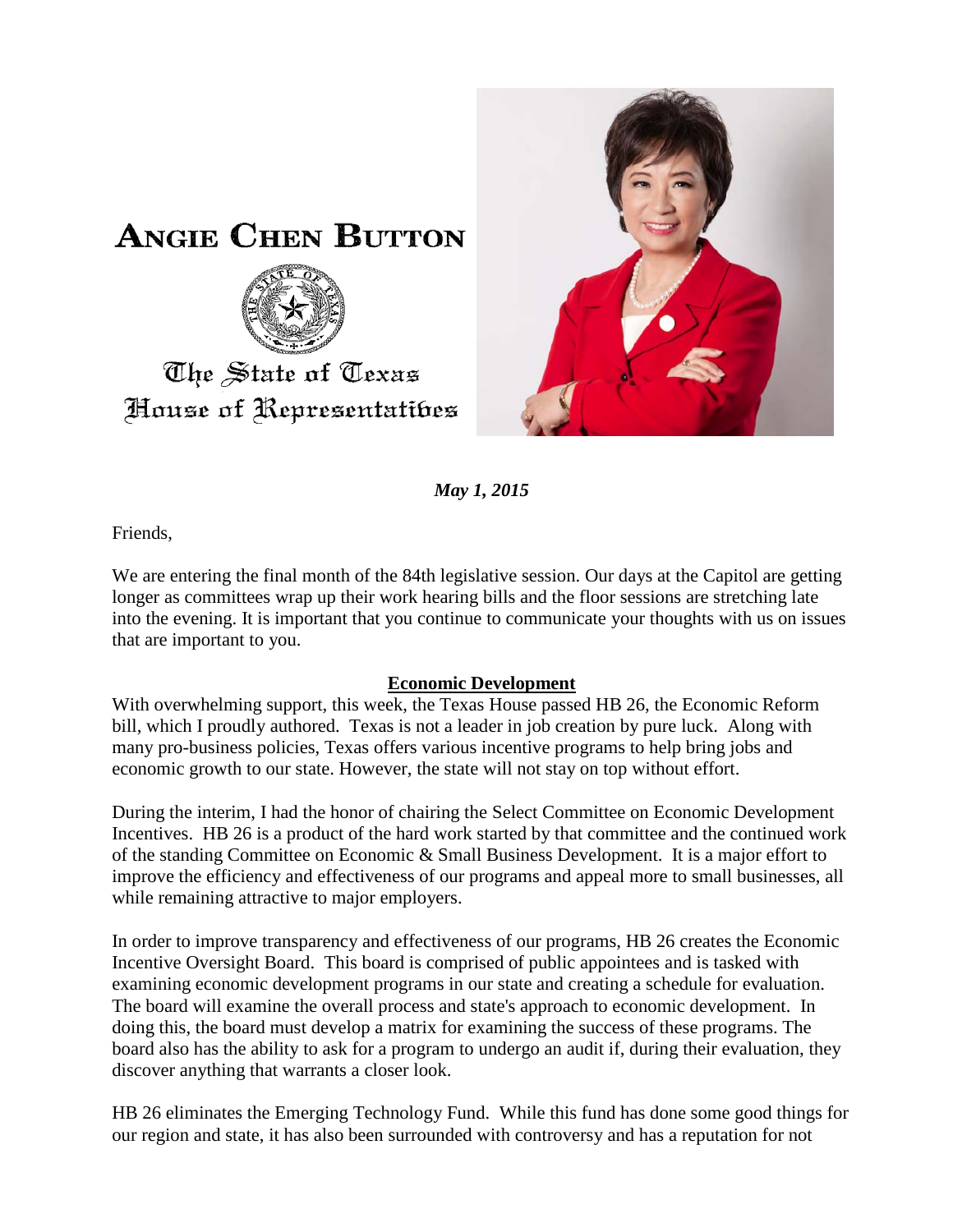



*May 1, 2015*

Friends,

We are entering the final month of the 84th legislative session. Our days at the Capitol are getting longer as committees wrap up their work hearing bills and the floor sessions are stretching late into the evening. It is important that you continue to communicate your thoughts with us on issues that are important to you.

## **Economic Development**

With overwhelming support, this week, the Texas House passed HB 26, the Economic Reform bill, which I proudly authored. Texas is not a leader in job creation by pure luck. Along with many pro-business policies, Texas offers various incentive programs to help bring jobs and economic growth to our state. However, the state will not stay on top without effort.

During the interim, I had the honor of chairing the Select Committee on Economic Development Incentives. HB 26 is a product of the hard work started by that committee and the continued work of the standing Committee on Economic & Small Business Development. It is a major effort to improve the efficiency and effectiveness of our programs and appeal more to small businesses, all while remaining attractive to major employers.

In order to improve transparency and effectiveness of our programs, HB 26 creates the Economic Incentive Oversight Board. This board is comprised of public appointees and is tasked with examining economic development programs in our state and creating a schedule for evaluation. The board will examine the overall process and state's approach to economic development. In doing this, the board must develop a matrix for examining the success of these programs. The board also has the ability to ask for a program to undergo an audit if, during their evaluation, they discover anything that warrants a closer look.

HB 26 eliminates the Emerging Technology Fund. While this fund has done some good things for our region and state, it has also been surrounded with controversy and has a reputation for not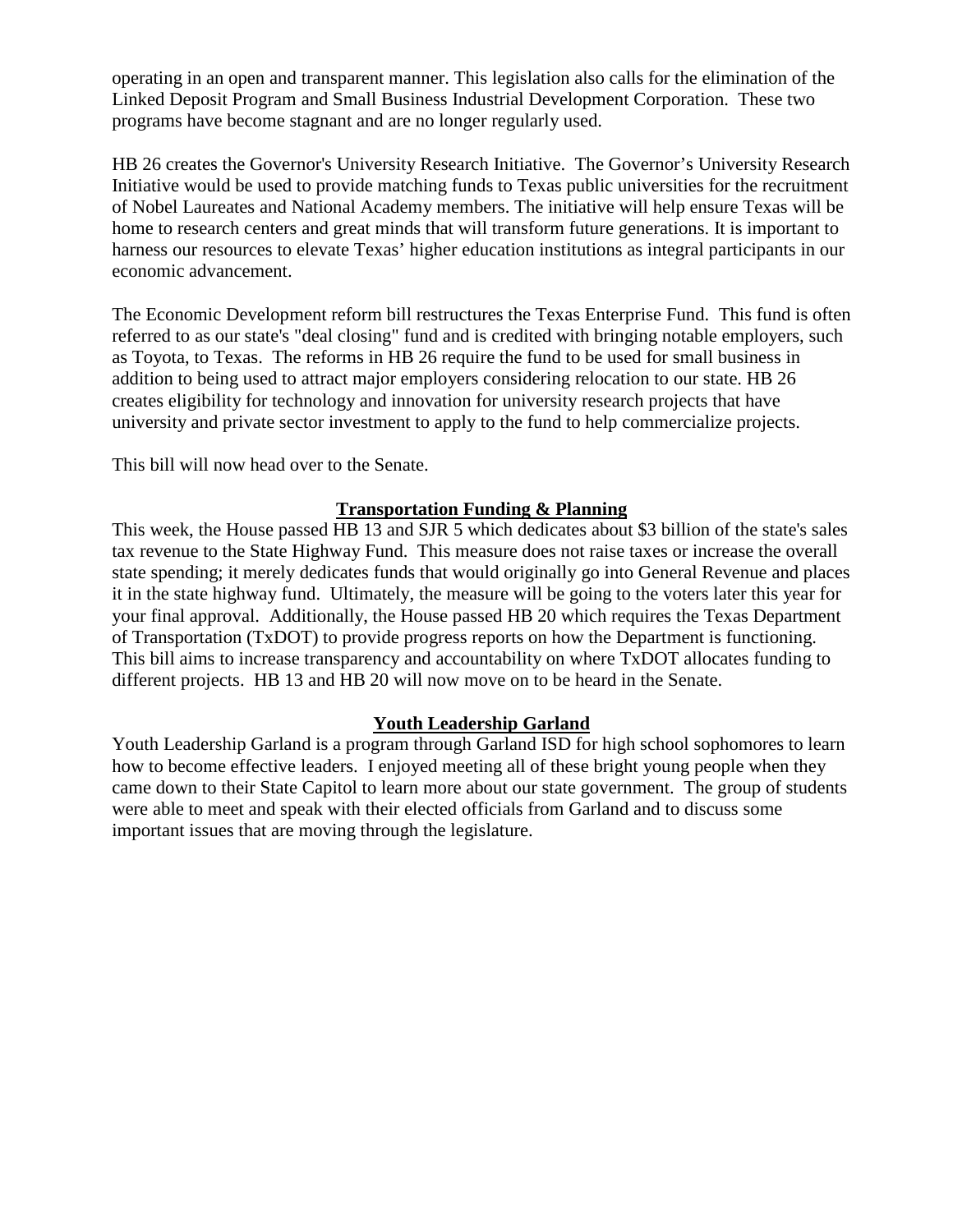operating in an open and transparent manner. This legislation also calls for the elimination of the Linked Deposit Program and Small Business Industrial Development Corporation. These two programs have become stagnant and are no longer regularly used.

HB 26 creates the Governor's University Research Initiative. The Governor's University Research Initiative would be used to provide matching funds to Texas public universities for the recruitment of Nobel Laureates and National Academy members. The initiative will help ensure Texas will be home to research centers and great minds that will transform future generations. It is important to harness our resources to elevate Texas' higher education institutions as integral participants in our economic advancement.

The Economic Development reform bill restructures the Texas Enterprise Fund. This fund is often referred to as our state's "deal closing" fund and is credited with bringing notable employers, such as Toyota, to Texas. The reforms in HB 26 require the fund to be used for small business in addition to being used to attract major employers considering relocation to our state. HB 26 creates eligibility for technology and innovation for university research projects that have university and private sector investment to apply to the fund to help commercialize projects.

This bill will now head over to the Senate.

## **Transportation Funding & Planning**

This week, the House passed HB 13 and SJR 5 which dedicates about \$3 billion of the state's sales tax revenue to the State Highway Fund. This measure does not raise taxes or increase the overall state spending; it merely dedicates funds that would originally go into General Revenue and places it in the state highway fund. Ultimately, the measure will be going to the voters later this year for your final approval. Additionally, the House passed HB 20 which requires the Texas Department of Transportation (TxDOT) to provide progress reports on how the Department is functioning. This bill aims to increase transparency and accountability on where TxDOT allocates funding to different projects. HB 13 and HB 20 will now move on to be heard in the Senate.

## **Youth Leadership Garland**

Youth Leadership Garland is a program through Garland ISD for high school sophomores to learn how to become effective leaders. I enjoyed meeting all of these bright young people when they came down to their State Capitol to learn more about our state government. The group of students were able to meet and speak with their elected officials from Garland and to discuss some important issues that are moving through the legislature.